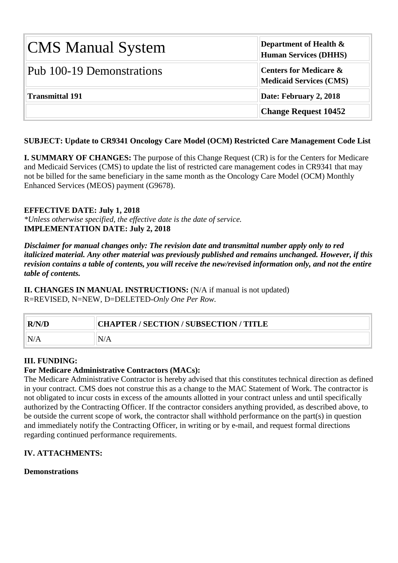| <b>CMS Manual System</b>  | <b>Department of Health <math>\&amp;</math></b><br><b>Human Services (DHHS)</b> |  |  |  |  |
|---------------------------|---------------------------------------------------------------------------------|--|--|--|--|
| Pub 100-19 Demonstrations | <b>Centers for Medicare &amp;</b><br><b>Medicaid Services (CMS)</b>             |  |  |  |  |
| Transmittal 191           | Date: February 2, 2018                                                          |  |  |  |  |
|                           | <b>Change Request 10452</b>                                                     |  |  |  |  |

# **SUBJECT: Update to CR9341 Oncology Care Model (OCM) Restricted Care Management Code List**

**I. SUMMARY OF CHANGES:** The purpose of this Change Request (CR) is for the Centers for Medicare and Medicaid Services (CMS) to update the list of restricted care management codes in CR9341 that may not be billed for the same beneficiary in the same month as the Oncology Care Model (OCM) Monthly Enhanced Services (MEOS) payment (G9678).

### **EFFECTIVE DATE: July 1, 2018**

*\*Unless otherwise specified, the effective date is the date of service.* **IMPLEMENTATION DATE: July 2, 2018**

*Disclaimer for manual changes only: The revision date and transmittal number apply only to red italicized material. Any other material was previously published and remains unchanged. However, if this revision contains a table of contents, you will receive the new/revised information only, and not the entire table of contents.*

**II. CHANGES IN MANUAL INSTRUCTIONS:** (N/A if manual is not updated) R=REVISED, N=NEW, D=DELETED-*Only One Per Row.*

| R/N/D | CHAPTER / SECTION / SUBSECTION / TITLE |
|-------|----------------------------------------|
|       |                                        |

### **III. FUNDING:**

# **For Medicare Administrative Contractors (MACs):**

The Medicare Administrative Contractor is hereby advised that this constitutes technical direction as defined in your contract. CMS does not construe this as a change to the MAC Statement of Work. The contractor is not obligated to incur costs in excess of the amounts allotted in your contract unless and until specifically authorized by the Contracting Officer. If the contractor considers anything provided, as described above, to be outside the current scope of work, the contractor shall withhold performance on the part(s) in question and immediately notify the Contracting Officer, in writing or by e-mail, and request formal directions regarding continued performance requirements.

# **IV. ATTACHMENTS:**

### **Demonstrations**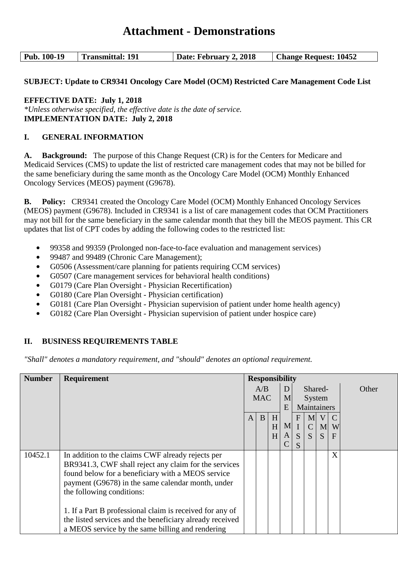# **Attachment - Demonstrations**

| Pub. 100-19<br><b>Transmittal: 191</b> | Date: February 2, 2018 | <b>Change Request: 10452</b> |
|----------------------------------------|------------------------|------------------------------|
|----------------------------------------|------------------------|------------------------------|

# **SUBJECT: Update to CR9341 Oncology Care Model (OCM) Restricted Care Management Code List**

### **EFFECTIVE DATE: July 1, 2018**

*\*Unless otherwise specified, the effective date is the date of service.* **IMPLEMENTATION DATE: July 2, 2018**

# **I. GENERAL INFORMATION**

**A. Background:** The purpose of this Change Request (CR) is for the Centers for Medicare and Medicaid Services (CMS) to update the list of restricted care management codes that may not be billed for the same beneficiary during the same month as the Oncology Care Model (OCM) Monthly Enhanced Oncology Services (MEOS) payment (G9678).

**B. Policy:** CR9341 created the Oncology Care Model (OCM) Monthly Enhanced Oncology Services (MEOS) payment (G9678). Included in CR9341 is a list of care management codes that OCM Practitioners may not bill for the same beneficiary in the same calendar month that they bill the MEOS payment. This CR updates that list of CPT codes by adding the following codes to the restricted list:

- **•** 99358 and 99359 (Prolonged non-face-to-face evaluation and management services)
- **•** 99487 and 99489 (Chronic Care Management);
- **•** G0506 (Assessment/care planning for patients requiring CCM services)
- **•** G0507 (Care management services for behavioral health conditions)
- **•** G0179 (Care Plan Oversight Physician Recertification)
- **•** G0180 (Care Plan Oversight Physician certification)
- **•** G0181 (Care Plan Oversight Physician supervision of patient under home health agency)
- **•** G0182 (Care Plan Oversight Physician supervision of patient under hospice care)

### **II. BUSINESS REQUIREMENTS TABLE**

*"Shall" denotes a mandatory requirement, and "should" denotes an optional requirement.*

| <b>Number</b> | <b>Requirement</b>                                       | <b>Responsibility</b> |     |   |   |              |                |                |              |             |  |  |
|---------------|----------------------------------------------------------|-----------------------|-----|---|---|--------------|----------------|----------------|--------------|-------------|--|--|
|               |                                                          |                       | A/B |   | D |              |                | Shared-        |              | Other       |  |  |
|               |                                                          | <b>MAC</b>            |     |   |   | M            |                |                |              | System      |  |  |
|               |                                                          |                       |     |   |   |              | E              |                |              | Maintainers |  |  |
|               |                                                          | $\mathbf{A}$          | B   | H |   | $\mathbf{F}$ | M <sub>l</sub> | $\mathbf{V}$   |              |             |  |  |
|               |                                                          |                       |     | H | M | $\mathbf I$  | $\mathcal{C}$  | M <sub>l</sub> | W            |             |  |  |
|               |                                                          |                       |     | H | A | S            | S              | S.             | $\mathbf{F}$ |             |  |  |
|               |                                                          |                       |     |   |   | S            |                |                |              |             |  |  |
| 10452.1       | In addition to the claims CWF already rejects per        |                       |     |   |   |              |                |                | X            |             |  |  |
|               | BR9341.3, CWF shall reject any claim for the services    |                       |     |   |   |              |                |                |              |             |  |  |
|               | found below for a beneficiary with a MEOS service        |                       |     |   |   |              |                |                |              |             |  |  |
|               | payment (G9678) in the same calendar month, under        |                       |     |   |   |              |                |                |              |             |  |  |
|               | the following conditions:                                |                       |     |   |   |              |                |                |              |             |  |  |
|               |                                                          |                       |     |   |   |              |                |                |              |             |  |  |
|               | 1. If a Part B professional claim is received for any of |                       |     |   |   |              |                |                |              |             |  |  |
|               | the listed services and the beneficiary already received |                       |     |   |   |              |                |                |              |             |  |  |
|               | a MEOS service by the same billing and rendering         |                       |     |   |   |              |                |                |              |             |  |  |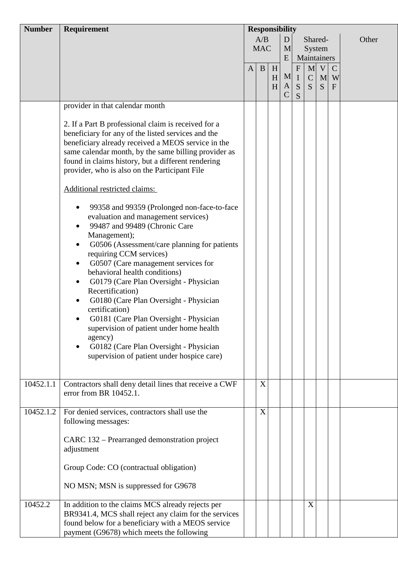| <b>Number</b> | Requirement                                                                                                                                                                                                                                                                                                                                                                                                                                                                                                                                                                                                                                                                                    |              | <b>Responsibility</b> |             |                         |                                                     |                       |                                  |                                  |       |
|---------------|------------------------------------------------------------------------------------------------------------------------------------------------------------------------------------------------------------------------------------------------------------------------------------------------------------------------------------------------------------------------------------------------------------------------------------------------------------------------------------------------------------------------------------------------------------------------------------------------------------------------------------------------------------------------------------------------|--------------|-----------------------|-------------|-------------------------|-----------------------------------------------------|-----------------------|----------------------------------|----------------------------------|-------|
|               |                                                                                                                                                                                                                                                                                                                                                                                                                                                                                                                                                                                                                                                                                                |              | A/B<br><b>MAC</b>     |             | D<br>M<br>E             |                                                     |                       | Shared-<br>System<br>Maintainers |                                  | Other |
|               |                                                                                                                                                                                                                                                                                                                                                                                                                                                                                                                                                                                                                                                                                                | $\mathbf{A}$ | B                     | H<br>H<br>H | M<br>A<br>$\mathcal{C}$ | $\boldsymbol{\mathrm{F}}$<br>$\mathbf{I}$<br>S<br>S | M<br>$\mathbf C$<br>S | V<br>M<br>S                      | $\mathbf C$<br>W<br>$\mathbf{F}$ |       |
|               | provider in that calendar month<br>2. If a Part B professional claim is received for a<br>beneficiary for any of the listed services and the<br>beneficiary already received a MEOS service in the<br>same calendar month, by the same billing provider as                                                                                                                                                                                                                                                                                                                                                                                                                                     |              |                       |             |                         |                                                     |                       |                                  |                                  |       |
|               | found in claims history, but a different rendering<br>provider, who is also on the Participant File                                                                                                                                                                                                                                                                                                                                                                                                                                                                                                                                                                                            |              |                       |             |                         |                                                     |                       |                                  |                                  |       |
|               | Additional restricted claims:<br>99358 and 99359 (Prolonged non-face-to-face<br>evaluation and management services)<br>99487 and 99489 (Chronic Care<br>$\bullet$<br>Management);<br>G0506 (Assessment/care planning for patients<br>requiring CCM services)<br>G0507 (Care management services for<br>$\bullet$<br>behavioral health conditions)<br>G0179 (Care Plan Oversight - Physician<br>$\bullet$<br>Recertification)<br>G0180 (Care Plan Oversight - Physician<br>certification)<br>G0181 (Care Plan Oversight - Physician<br>supervision of patient under home health<br>agency)<br>G0182 (Care Plan Oversight - Physician<br>$\bullet$<br>supervision of patient under hospice care) |              |                       |             |                         |                                                     |                       |                                  |                                  |       |
| 10452.1.1     | Contractors shall deny detail lines that receive a CWF<br>error from BR 10452.1.                                                                                                                                                                                                                                                                                                                                                                                                                                                                                                                                                                                                               |              | X                     |             |                         |                                                     |                       |                                  |                                  |       |
| 10452.1.2     | For denied services, contractors shall use the<br>following messages:<br>CARC 132 – Prearranged demonstration project<br>adjustment<br>Group Code: CO (contractual obligation)<br>NO MSN; MSN is suppressed for G9678                                                                                                                                                                                                                                                                                                                                                                                                                                                                          |              | X                     |             |                         |                                                     |                       |                                  |                                  |       |
| 10452.2       | In addition to the claims MCS already rejects per<br>BR9341.4, MCS shall reject any claim for the services<br>found below for a beneficiary with a MEOS service<br>payment (G9678) which meets the following                                                                                                                                                                                                                                                                                                                                                                                                                                                                                   |              |                       |             |                         |                                                     | X                     |                                  |                                  |       |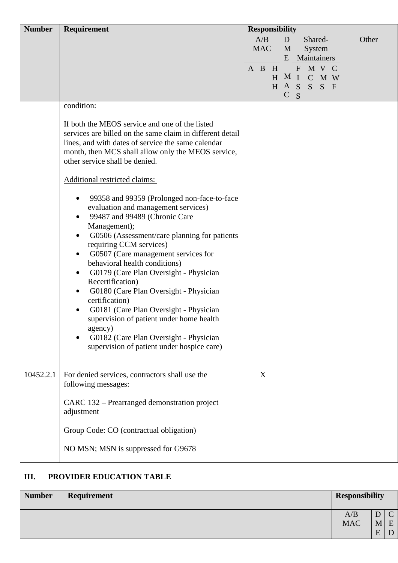| <b>Number</b> | Requirement                                                                                                                                                                                                                                                                                                                                                                                                                                                                                                                                                                                                                                                        | <b>Responsibility</b> |            |   |               |              |             |              |               |       |   |  |             |  |  |  |
|---------------|--------------------------------------------------------------------------------------------------------------------------------------------------------------------------------------------------------------------------------------------------------------------------------------------------------------------------------------------------------------------------------------------------------------------------------------------------------------------------------------------------------------------------------------------------------------------------------------------------------------------------------------------------------------------|-----------------------|------------|---|---------------|--------------|-------------|--------------|---------------|-------|---|--|-------------|--|--|--|
|               |                                                                                                                                                                                                                                                                                                                                                                                                                                                                                                                                                                                                                                                                    |                       | A/B        |   | D             |              | Shared-     |              |               | Other |   |  |             |  |  |  |
|               |                                                                                                                                                                                                                                                                                                                                                                                                                                                                                                                                                                                                                                                                    |                       | <b>MAC</b> |   | M             |              | System      |              |               |       |   |  |             |  |  |  |
|               |                                                                                                                                                                                                                                                                                                                                                                                                                                                                                                                                                                                                                                                                    |                       |            |   |               |              |             |              |               |       | E |  | Maintainers |  |  |  |
|               |                                                                                                                                                                                                                                                                                                                                                                                                                                                                                                                                                                                                                                                                    | $\mathbf{A}$          | B          | H |               | $\mathbf{F}$ |             | $M$ V        | $\mathcal{C}$ |       |   |  |             |  |  |  |
|               |                                                                                                                                                                                                                                                                                                                                                                                                                                                                                                                                                                                                                                                                    |                       |            | H | M             | $\bf{I}$     | $\mathbf C$ | $\mathbf{M}$ | W             |       |   |  |             |  |  |  |
|               |                                                                                                                                                                                                                                                                                                                                                                                                                                                                                                                                                                                                                                                                    |                       |            | H | A             | S            | S           | S            | $\mathbf{F}$  |       |   |  |             |  |  |  |
|               |                                                                                                                                                                                                                                                                                                                                                                                                                                                                                                                                                                                                                                                                    |                       |            |   | $\mathcal{C}$ | S            |             |              |               |       |   |  |             |  |  |  |
|               | condition:                                                                                                                                                                                                                                                                                                                                                                                                                                                                                                                                                                                                                                                         |                       |            |   |               |              |             |              |               |       |   |  |             |  |  |  |
|               | If both the MEOS service and one of the listed<br>services are billed on the same claim in different detail<br>lines, and with dates of service the same calendar<br>month, then MCS shall allow only the MEOS service,<br>other service shall be denied.                                                                                                                                                                                                                                                                                                                                                                                                          |                       |            |   |               |              |             |              |               |       |   |  |             |  |  |  |
|               | Additional restricted claims:                                                                                                                                                                                                                                                                                                                                                                                                                                                                                                                                                                                                                                      |                       |            |   |               |              |             |              |               |       |   |  |             |  |  |  |
|               | 99358 and 99359 (Prolonged non-face-to-face<br>evaluation and management services)<br>99487 and 99489 (Chronic Care<br>٠<br>Management);<br>G0506 (Assessment/care planning for patients<br>$\bullet$<br>requiring CCM services)<br>G0507 (Care management services for<br>$\bullet$<br>behavioral health conditions)<br>G0179 (Care Plan Oversight - Physician<br>$\bullet$<br>Recertification)<br>G0180 (Care Plan Oversight - Physician<br>$\bullet$<br>certification)<br>G0181 (Care Plan Oversight - Physician<br>supervision of patient under home health<br>agency)<br>G0182 (Care Plan Oversight - Physician<br>supervision of patient under hospice care) |                       |            |   |               |              |             |              |               |       |   |  |             |  |  |  |
| 10452.2.1     | For denied services, contractors shall use the<br>following messages:                                                                                                                                                                                                                                                                                                                                                                                                                                                                                                                                                                                              |                       | X          |   |               |              |             |              |               |       |   |  |             |  |  |  |
|               | CARC 132 – Prearranged demonstration project<br>adjustment                                                                                                                                                                                                                                                                                                                                                                                                                                                                                                                                                                                                         |                       |            |   |               |              |             |              |               |       |   |  |             |  |  |  |
|               | Group Code: CO (contractual obligation)                                                                                                                                                                                                                                                                                                                                                                                                                                                                                                                                                                                                                            |                       |            |   |               |              |             |              |               |       |   |  |             |  |  |  |
|               | NO MSN; MSN is suppressed for G9678                                                                                                                                                                                                                                                                                                                                                                                                                                                                                                                                                                                                                                |                       |            |   |               |              |             |              |               |       |   |  |             |  |  |  |

# **III. PROVIDER EDUCATION TABLE**

| <b>Number</b> | Requirement | <b>Responsibility</b> |                |   |
|---------------|-------------|-----------------------|----------------|---|
|               |             | A/B                   | ◡              |   |
|               |             | <b>MAC</b>            | M <sub>1</sub> | E |
|               |             |                       | F              |   |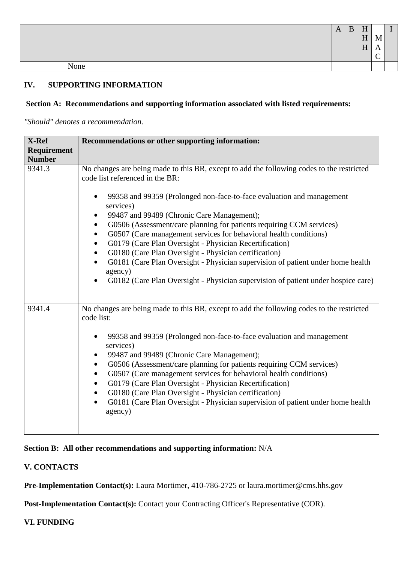|      | A | D | H |      |  |
|------|---|---|---|------|--|
|      |   |   | H | TA T |  |
|      |   |   | H | . .  |  |
|      |   |   |   |      |  |
| None |   |   |   |      |  |

# **IV. SUPPORTING INFORMATION**

# **Section A: Recommendations and supporting information associated with listed requirements:**

*"Should" denotes a recommendation.*

| X-Ref         | Recommendations or other supporting information:                                                                                                                                                                                                                                                                                                                                                                                                                                                                                                                                                                                                                                                                                                                      |
|---------------|-----------------------------------------------------------------------------------------------------------------------------------------------------------------------------------------------------------------------------------------------------------------------------------------------------------------------------------------------------------------------------------------------------------------------------------------------------------------------------------------------------------------------------------------------------------------------------------------------------------------------------------------------------------------------------------------------------------------------------------------------------------------------|
| Requirement   |                                                                                                                                                                                                                                                                                                                                                                                                                                                                                                                                                                                                                                                                                                                                                                       |
| <b>Number</b> |                                                                                                                                                                                                                                                                                                                                                                                                                                                                                                                                                                                                                                                                                                                                                                       |
| 9341.3        | No changes are being made to this BR, except to add the following codes to the restricted<br>code list referenced in the BR:<br>99358 and 99359 (Prolonged non-face-to-face evaluation and management<br>services)<br>99487 and 99489 (Chronic Care Management);<br>٠<br>G0506 (Assessment/care planning for patients requiring CCM services)<br>٠<br>G0507 (Care management services for behavioral health conditions)<br>$\bullet$<br>G0179 (Care Plan Oversight - Physician Recertification)<br>$\bullet$<br>G0180 (Care Plan Oversight - Physician certification)<br>G0181 (Care Plan Oversight - Physician supervision of patient under home health<br>$\bullet$<br>agency)<br>G0182 (Care Plan Oversight - Physician supervision of patient under hospice care) |
| 9341.4        | No changes are being made to this BR, except to add the following codes to the restricted<br>code list:<br>99358 and 99359 (Prolonged non-face-to-face evaluation and management<br>$\bullet$<br>services)<br>99487 and 99489 (Chronic Care Management);<br>$\bullet$<br>G0506 (Assessment/care planning for patients requiring CCM services)<br>$\bullet$<br>G0507 (Care management services for behavioral health conditions)<br>$\bullet$<br>G0179 (Care Plan Oversight - Physician Recertification)<br>$\bullet$<br>G0180 (Care Plan Oversight - Physician certification)<br>$\bullet$<br>G0181 (Care Plan Oversight - Physician supervision of patient under home health<br>$\bullet$<br>agency)                                                                 |

**Section B: All other recommendations and supporting information:** N/A

# **V. CONTACTS**

Pre-Implementation Contact(s): Laura Mortimer, 410-786-2725 or laura.mortimer@cms.hhs.gov

Post-Implementation Contact(s): Contact your Contracting Officer's Representative (COR).

### **VI. FUNDING**